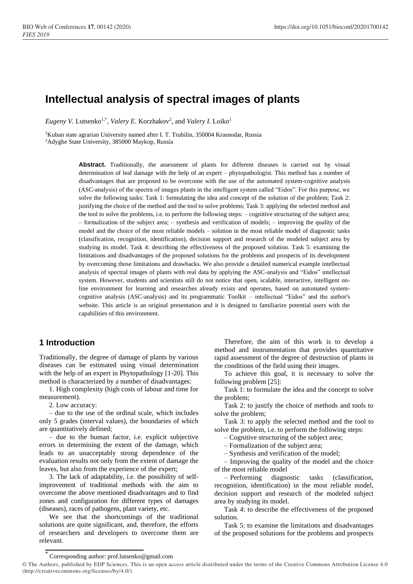# **Intellectual analysis of spectral images of plants**

Eugeny V. Lutsenko<sup>1,\*</sup>, *Valery E.* Korzhakov<sup>2</sup>, and *Valery I.* Loiko<sup>1</sup>

<sup>1</sup>Kuban state agrarian University named after I. T. Trubilin, 350004 Krasnodar, Russia <sup>2</sup>Adyghe State University, 385000 Maykop, Russia

> Abstract. Traditionally, the assessment of plants for different diseases is carried out by visual determination of leaf damage with the help of an expert – phytopathologist. This method has a number of disadvantages that are proposed to be overcome with the use of the automated system-cognitive analysis (ASC-analysis) of the spectra of images plants in the intelligent system called "Eidos". For this purpose, we solve the following tasks: Task 1: formulating the idea and concept of the solution of the problem; Task 2: justifying the choice of the method and the tool to solve problems; Task 3: applying the selected method and the tool to solve the problems, i.e. to perform the following steps: – cognitive structuring of the subject area; – formalization of the subject area; – synthesis and verification of models; – improving the quality of the model and the choice of the most reliable models – solution in the most reliable model of diagnostic tasks (classification, recognition, identification), decision support and research of the modeled subject area by studying its model. Task 4: describing the effectiveness of the proposed solution. Task 5: examining the limitations and disadvantages of the proposed solutions for the problems and prospects of its development by overcoming those limitations and drawbacks. We also provide a detailed numerical example intellectual analysis of spectral images of plants with real data by applying the ASC-analysis and "Eidos" intellectual system. However, students and scientists still do not notice that open, scalable, interactive, intelligent online environment for learning and researches already exists and operates, based on automated systemcognitive analysis (ASC-analysis) and its programmatic Toolkit – intellectual "Eidos" and the author's website. This article is an original presentation and it is designed to familiarize potential users with the capabilities of this environment.

# **1 Introduction**

Traditionally, the degree of damage of plants by various diseases can be estimated using visual determination with the help of an expert in Phytopathology [1-20]. This method is characterized by a number of disadvantages:

1. High complexity (high costs of labour and time for measurement).

2. Low accuracy:

– due to the use of the ordinal scale, which includes only 5 grades (interval values), the boundaries of which are quantitatively defined;

– due to the human factor, i.e. explicit subjective errors in determining the extent of the damage, which leads to an unacceptably strong dependence of the evaluation results not only from the extent of damage the leaves, but also from the experience of the expert;

3. The lack of adaptability, i.e. the possibility of selfimprovement of traditional methods with the aim to overcome the above mentioned disadvantages and to find zones and configuration for different types of damages (diseases), races of pathogens, plant variety, etc.

We see that the shortcomings of the traditional solutions are quite significant, and, therefore, the efforts of researchers and developers to overcome them are relevant.

Therefore, the aim of this work is to develop a method and instrumentation that provides quantitative rapid assessment of the degree of destruction of plants in the conditions of the field using their images.

To achieve this goal, it is necessary to solve the following problem [25]:

Task 1: to formulate the idea and the concept to solve the problem;

Task 2: to justify the choice of methods and tools to solve the problem;

Task 3: to apply the selected method and the tool to solve the problem, i.e. to perform the following steps:

– Cognitive structuring of the subject area;

– Formalization of the subject area;

– Synthesis and verification of the model;

– Improving the quality of the model and the choice of the most reliable model

– Performing diagnostic tasks (classification, recognition, identification) in the most reliable model, decision support and research of the modeled subject area by studying its model.

Task 4: to describe the effectiveness of the proposed solution.

Task 5: to examine the limitations and disadvantages of the proposed solutions for the problems and prospects

<sup>\*</sup> Corresponding author: prof.lutsenko@gmail.com

<sup>©</sup> The Authors, published by EDP Sciences. This is an open access article distributed under the terms of the Creative Commons Attribution License 4.0 (http://creativecommons.org/licenses/by/4.0/).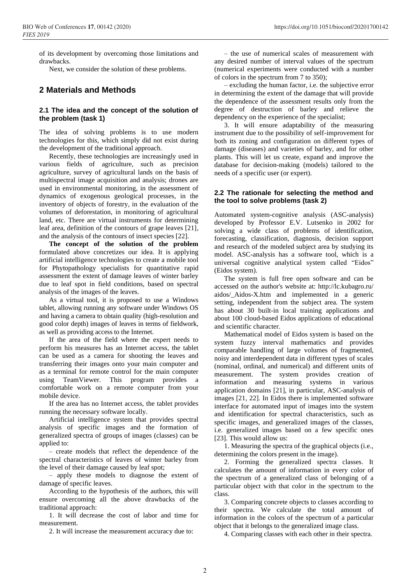of its development by overcoming those limitations and drawbacks.

Next, we consider the solution of these problems.

# **2 Materials and Methods**

### **2.1 The idea and the concept of the solution of the problem (task 1)**

The idea of solving problems is to use modern technologies for this, which simply did not exist during the development of the traditional approach.

Recently, these technologies are increasingly used in various fields of agriculture, such as precision agriculture, survey of agricultural lands on the basis of multispectral image acquisition and analysis; drones are used in environmental monitoring, in the assessment of dynamics of exogenous geological processes, in the inventory of objects of forestry, in the evaluation of the volumes of deforestation, in monitoring of agricultural land, etc. There are virtual instruments for determining leaf area, definition of the contours of grape leaves [21], and the analysis of the contours of insect species [22].

**The concept of the solution of the problem** formulated above concretizes our idea. It is applying artificial intelligence technologies to create a mobile tool for Phytopathology specialists for quantitative rapid assessment the extent of damage leaves of winter barley due to leaf spot in field conditions, based on spectral analysis of the images of the leaves.

As a virtual tool, it is proposed to use a Windows tablet, allowing running any software under Windows OS and having a camera to obtain quality (high-resolution and good color depth) images of leaves in terms of fieldwork, as well as providing access to the Internet.

If the area of the field where the expert needs to perform his measures has an Internet access, the tablet can be used as a camera for shooting the leaves and transferring their images onto your main computer and as a terminal for remote control for the main computer using TeamViewer. This program provides a comfortable work on a remote computer from your mobile device.

If the area has no Internet access, the tablet provides running the necessary software locally.

Artificial intelligence system that provides spectral analysis of specific images and the formation of generalized spectra of groups of images (classes) can be applied to:

– create models that reflect the dependence of the spectral characteristics of leaves of winter barley from the level of their damage caused by leaf spot;

– apply these models to diagnose the extent of damage of specific leaves.

According to the hypothesis of the authors, this will ensure overcoming all the above drawbacks of the traditional approach:

1. It will decrease the cost of labor and time for measurement.

2. It will increase the measurement accuracy due to:

– the use of numerical scales of measurement with any desired number of interval values of the spectrum (numerical experiments were conducted with a number of colors in the spectrum from 7 to 350);

– excluding the human factor, i.e. the subjective error in determining the extent of the damage that will provide the dependence of the assessment results only from the degree of destruction of barley and relieve the dependency on the experience of the specialist;

3. It will ensure adaptability of the measuring instrument due to the possibility of self-improvement for both its zoning and configuration on different types of damage (diseases) and varieties of barley, and for other plants. This will let us create, expand and improve the database for decision-making (models) tailored to the needs of a specific user (or expert).

### **2.2 The rationale for selecting the method and the tool to solve problems (task 2)**

Automated system-cognitive analysis (ASC-analysis) developed by Professor E.V. Lutsenko in 2002 for solving a wide class of problems of identification, forecasting, classification, diagnosis, decision support and research of the modeled subject area by studying its model. ASC-analysis has a software tool, which is a universal cognitive analytical system called "Eidos" (Eidos system).

The system is full free open software and can be accessed on the author's website at: http://lc.kubagro.ru/ aidos/\_Aidos-X.htm and implemented in a generic setting, independent from the subject area. The system has about 30 built-in local training applications and about 100 cloud-based Eidos applications of educational and scientific character.

Mathematical model of Eidos system is based on the system fuzzy interval mathematics and provides comparable handling of large volumes of fragmented, noisy and interdependent data in different types of scales (nominal, ordinal, and numerical) and different units of measurement. The system provides creation of information and measuring systems in various application domains [21], in particular, ASC-analysis of images [21, 22]. In Eidos there is implemented software interface for automated input of images into the system and identification for spectral characteristics, such as specific images, and generalized images of the classes, i.e. generalized images based on a few specific ones [23]. This would allow us:

1. Measuring the spectra of the graphical objects (i.e., determining the colors present in the image).

2. Forming the generalized spectra classes. It calculates the amount of information in every color of the spectrum of a generalized class of belonging of a particular object with that color in the spectrum to the class.

3. Comparing concrete objects to classes according to their spectra. We calculate the total amount of information in the colors of the spectrum of a particular object that it belongs to the generalized image class.

4. Comparing classes with each other in their spectra.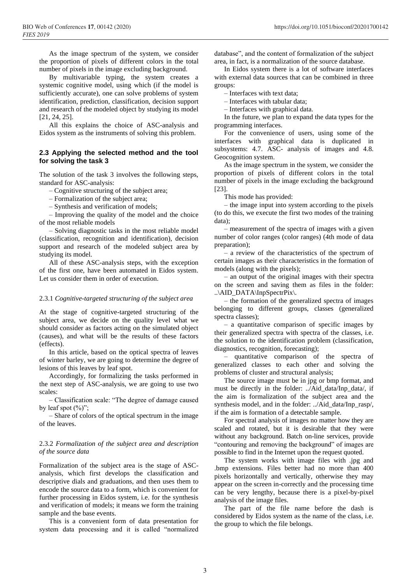As the image spectrum of the system, we consider the proportion of pixels of different colors in the total number of pixels in the image excluding background.

By multivariable typing, the system creates a systemic cognitive model, using which (if the model is sufficiently accurate), one can solve problems of system identification, prediction, classification, decision support and research of the modeled object by studying its model [21, 24, 25].

All this explains the choice of ASC-analysis and Eidos system as the instruments of solving this problem.

### **2.3 Applying the selected method and the tool for solving the task 3**

The solution of the task 3 involves the following steps, standard for ASC-analysis:

– Cognitive structuring of the subject area;

- Formalization of the subject area;
- Synthesis and verification of models;

– Improving the quality of the model and the choice of the most reliable models

– Solving diagnostic tasks in the most reliable model (classification, recognition and identification), decision support and research of the modeled subject area by studying its model.

All of these ASC-analysis steps, with the exception of the first one, have been automated in Eidos system. Let us consider them in order of execution.

# 2.3.1 *Cognitive-targeted structuring of the subject area*

At the stage of cognitive-targeted structuring of the subject area, we decide on the quality level what we should consider as factors acting on the simulated object (causes), and what will be the results of these factors (effects).

In this article, based on the optical spectra of leaves of winter barley, we are going to determine the degree of lesions of this leaves by leaf spot.

Accordingly, for formalizing the tasks performed in the next step of ASC-analysis, we are going to use two scales:

– Classification scale: "The degree of damage caused by leaf spot  $(\%)$ ";

– Share of colors of the optical spectrum in the image of the leaves.

#### 2.3.2 *Formalization of the subject area and description of the source data*

Formalization of the subject area is the stage of ASCanalysis, which first develops the classification and descriptive dials and graduations, and then uses them to encode the source data to a form, which is convenient for further processing in Eidos system, i.e. for the synthesis and verification of models; it means we form the training sample and the base events.

This is a convenient form of data presentation for system data processing and it is called "normalized database", and the content of formalization of the subject area, in fact, is a normalization of the source database.

In Eidos system there is a lot of software interfaces with external data sources that can be combined in three groups:

– Interfaces with text data;

– Interfaces with tabular data;

– Interfaces with graphical data.

In the future, we plan to expand the data types for the programming interfaces.

For the convenience of users, using some of the interfaces with graphical data is duplicated in subsystems: 4.7. ASC- analysis of images and 4.8. Geocognition system.

As the image spectrum in the system, we consider the proportion of pixels of different colors in the total number of pixels in the image excluding the background [23].

This mode has provided:

– the image input into system according to the pixels (to do this, we execute the first two modes of the training data);

– measurement of the spectra of images with a given number of color ranges (color ranges) (4th mode of data preparation);

– a review of the characteristics of the spectrum of certain images as their characteristics in the formation of models (along with the pixels);

– an output of the original images with their spectra on the screen and saving them as files in the folder: ..\AID\_DATA\InpSpectrPix\.

– the formation of the generalized spectra of images belonging to different groups, classes (generalized spectra classes);

– a quantitative comparison of specific images by their generalized spectra with spectra of the classes, i.e. the solution to the identification problem (classification, diagnostics, recognition, forecasting);

– quantitative comparison of the spectra of generalized classes to each other and solving the problems of cluster and structural analysis;

The source image must be in jpg or bmp format, and must be directly in the folder: ../Aid\_data/Inp\_data/, if the aim is formalization of the subject area and the synthesis model, and in the folder: ../Aid\_data/Inp\_rasp/, if the aim is formation of a detectable sample.

For spectral analysis of images no matter how they are scaled and rotated, but it is desirable that they were without any background. Batch on-line services, provide "contouring and removing the background" of images are possible to find in the Internet upon the request quoted.

The system works with image files with .jpg and .bmp extensions. Files better had no more than 400 pixels horizontally and vertically, otherwise they may appear on the screen in-correctly and the processing time can be very lengthy, because there is a pixel-by-pixel analysis of the image files.

The part of the file name before the dash is considered by Eidos system as the name of the class, i.e. the group to which the file belongs.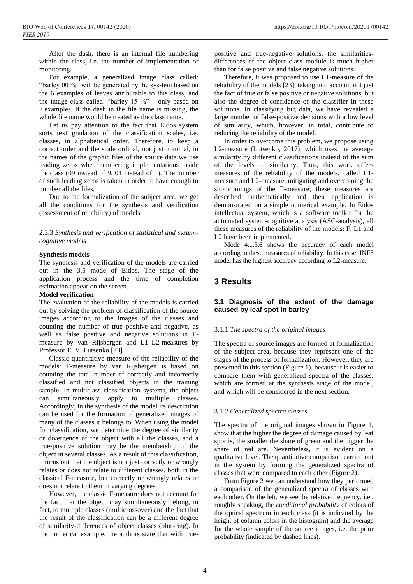After the dash, there is an internal file numbering within the class, i.e. the number of implementation or monitoring.

For example, a generalized image class called: "barley 00 %" will be generated by the sys-tem based on the 6 examples of leaves attributable to this class, and the image class called: "barley  $15\%$ " – only based on 2 examples. If the dash in the file name is missing, the whole file name would be treated as the class name.

Let us pay attention to the fact that Eidos system sorts text gradation of the classification scales, i.e. classes, in alphabetical order. Therefore, to keep a correct order and the scale ordinal, not just nominal, in the names of the graphic files of the source data we use leading zeros when numbering implementations inside the class (09 instead of 9, 01 instead of 1). The number of such leading zeros is taken in order to have enough to number all the files.

Due to the formalization of the subject area, we get all the conditions for the synthesis and verification (assessment of reliability) of models.

2.3.3 *Synthesis and verification of statistical and systemcognitive models*

#### **Synthesis models**

The synthesis and verification of the models are carried out in the 3.5 mode of Eidos. The stage of the application process and the time of completion estimation appear on the screen.

#### **Model verification**

The evaluation of the reliability of the models is carried out by solving the problem of classification of the source images according to the images of the classes and counting the number of true positive and negative, as well as false positive and negative solutions in Fmeasure by van Rijsbergen and L1–L2-measures by Professor E. V. Lutsenko [23].

Classic quantitative measure of the reliability of the models: F-measure by van Rijsbergen is based on counting the total number of correctly and incorrectly classified and not classified objects in the training sample. In multiclass classification systems, the object can simultaneously apply to multiple classes. Accordingly, in the synthesis of the model its description can be used for the formation of generalized images of many of the classes it belongs to. When using the model for classification, we determine the degree of similarity or divergence of the object with all the classes, and a true-positive solution may be the membership of the object in several classes. As a result of this classification, it turns out that the object is not just correctly or wrongly relates or does not relate to different classes, both in the classical F-measure, but correctly or wrongly relates or does not relate to them in varying degrees.

However, the classic F-measure does not account for the fact that the object may simultaneously belong, in fact, to multiple classes (multicrossover) and the fact that the result of the classification can be a different degree of similarity-differences of object classes (blur-ring). In the numerical example, the authors state that with truepositive and true-negative solutions, the similaritiesdifferences of the object class module is much higher than for false positive and false negative solutions.

Therefore, it was proposed to use L1-measure of the reliability of the models [23], taking into account not just the fact of true or false positive or negative solutions, but also the degree of confidence of the classifier in these solutions. In classifying big data, we have revealed a large number of false-positive decisions with a low level of similarity, which, however, in total, contribute to reducing the reliability of the model.

In order to overcome this problem, we propose using L2-measure (Lutsenko, 2017), which uses the average similarity by different classifications instead of the sum of the levels of similarity. Thus, this work offers measures of the reliability of the models, called L1 measure and L2-measure, mitigating and overcoming the shortcomings of the F-measure; these measures are described mathematically and their application is demonstrated on a simple numerical example. In Eidos intellectual system, which is a software toolkit for the automated system-cognitive analysis (ASC-analysis), all these measures of the reliability of the models: F, L1 and L2 have been implemented.

Mode 4.1.3.6 shows the accuracy of each model according to these measures of reliability. In this case, INF3 model has the highest accuracy according to L2-measure.

# **3 Results**

### **3.1 Diagnosis of the extent of the damage caused by leaf spot in barley**

#### 3.1.1 *The spectra of the original images*

The spectra of source images are formed at formalization of the subject area, because they represent one of the stages of the process of formalization. However, they are presented in this section (Figure 1), because it is easier to compare them with generalized spectra of the classes, which are formed at the synthesis stage of the model, and which will be considered in the next section.

#### 3.1.2 *Generalized spectra classes*

The spectra of the original images shown in Figure 1, show that the higher the degree of damage caused by leaf spot is, the smaller the share of green and the bigger the share of red are. Nevertheless, it is evident on a qualitative level. The quantitative comparison carried out in the system by forming the generalized spectra of classes that were compared to each other (Figure 2).

From Figure 2 we can understand how they performed a comparison of the generalized spectra of classes with each other. On the left, we see the relative frequency, i.e., roughly speaking, the *conditional probability* of colors of the optical spectrum in each class (it is indicated by the height of column colors in the histogram) and the average for the whole sample of the source images, i.e. the prior probability (indicated by dashed lines).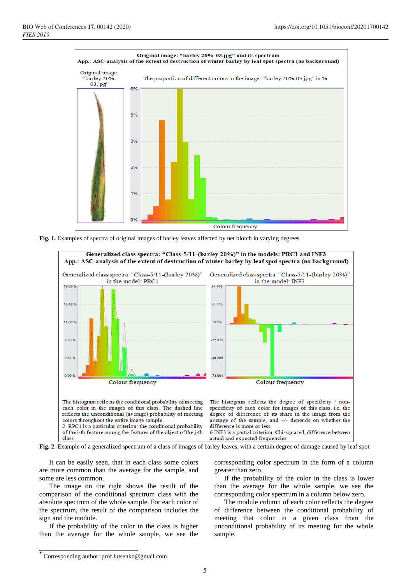

**Fig. 1.** Examples of spectra of original images of barley leaves affected by net blotch in varying degrees



**Fig. 2**. Example of a generalized spectrum of a class of images of barley leaves, with a certain degree of damage caused by leaf spot

It can be easily seen, that in each class some colors are more common than the average for the sample, and some are less common.

The image on the right shows the result of the comparison of the conditional spectrum class with the absolute spectrum of the whole sample. For each color of the spectrum, the result of the comparison includes the sign and the module.

If the probability of the color in the class is higher than the average for the whole sample, we see the corresponding color spectrum in the form of a column greater than zero.

If the probability of the color in the class is lower than the average for the whole sample, we see the corresponding color spectrum in a column below zero.

The module column of each color reflects the degree of difference between the conditional probability of meeting that color in a given class from the unconditional probability of its meeting for the whole sample.

<sup>\*</sup> Corresponding author: prof.lutsenko@gmail.com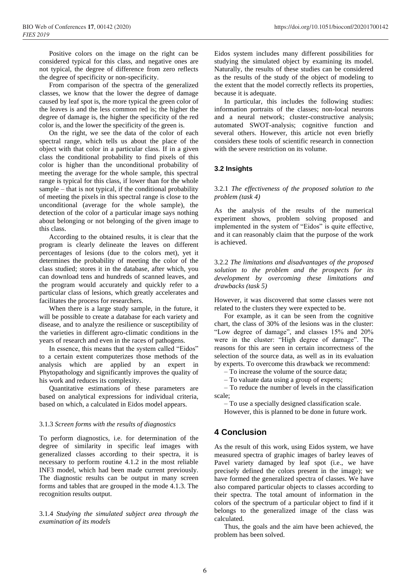Positive colors on the image on the right can be considered typical for this class, and negative ones are not typical, the degree of difference from zero reflects the degree of specificity or non-specificity.

From comparison of the spectra of the generalized classes, we know that the lower the degree of damage caused by leaf spot is, the more typical the green color of the leaves is and the less common red is; the higher the degree of damage is, the higher the specificity of the red color is, and the lower the specificity of the green is.

On the right, we see the data of the color of each spectral range, which tells us about the place of the object with that color in a particular class. If in a given class the conditional probability to find pixels of this color is higher than the unconditional probability of meeting the average for the whole sample, this spectral range is typical for this class, if lower than for the whole sample – that is not typical, if the conditional probability of meeting the pixels in this spectral range is close to the unconditional (average for the whole sample), the detection of the color of a particular image says nothing about belonging or not belonging of the given image to this class.

According to the obtained results, it is clear that the program is clearly delineate the leaves on different percentages of lesions (due to the colors met), yet it determines the probability of meeting the color of the class studied; stores it in the database, after which, you can download tens and hundreds of scanned leaves, and the program would accurately and quickly refer to a particular class of lesions, which greatly accelerates and facilitates the process for researchers.

When there is a large study sample, in the future, it will be possible to create a database for each variety and disease, and to analyze the resilience or susceptibility of the varieties in different agro-climatic conditions in the years of research and even in the races of pathogens.

In essence, this means that the system called "Eidos" to a certain extent computerizes those methods of the analysis which are applied by an expert in Phytopathology and significantly improves the quality of his work and reduces its complexity.

Quantitative estimations of these parameters are based on analytical expressions for individual criteria, based on which, a calculated in Eidos model appears.

#### 3.1.3 *Screen forms with the results of diagnostics*

To perform diagnostics, i.e. for determination of the degree of similarity in specific leaf images with generalized classes according to their spectra, it is necessary to perform routine 4.1.2 in the most reliable INF3 model, which had been made current previously. The diagnostic results can be output in many screen forms and tables that are grouped in the mode 4.1.3. The recognition results output.

3.1.4 *Studying the simulated subject area through the examination of its models*

Eidos system includes many different possibilities for studying the simulated object by examining its model. Naturally, the results of these studies can be considered as the results of the study of the object of modeling to the extent that the model correctly reflects its properties, because it is adequate.

In particular, this includes the following studies: information portraits of the classes; non-local neurons and a neural network; cluster-constructive analysis; automated SWOT-analysis; cognitive function and several others. However, this article not even briefly considers these tools of scientific research in connection with the severe restriction on its volume.

### **3.2 Insights**

3.2.1 *The effectiveness of the proposed solution to the problem (task 4)*

As the analysis of the results of the numerical experiment shows, problem solving proposed and implemented in the system of "Eidos" is quite effective, and it can reasonably claim that the purpose of the work is achieved.

3.2.2 *The limitations and disadvantages of the proposed solution to the problem and the prospects for its development by overcoming these limitations and drawbacks (task 5)*

However, it was discovered that some classes were not related to the clusters they were expected to be.

For example, as it can be seen from the cognitive chart, the class of 30% of the lesions was in the cluster: "Low degree of damage", and classes 15% and 20% were in the cluster: "High degree of damage". The reasons for this are seen in certain incorrectness of the selection of the source data, as well as in its evaluation by experts. To overcome this drawback we recommend:

– To increase the volume of the source data;

– To valuate data using a group of experts;

– To reduce the number of levels in the classification scale;

– To use a specially designed classification scale. However, this is planned to be done in future work.

# **4 Conclusion**

As the result of this work, using Eidos system, we have measured spectra of graphic images of barley leaves of Pavel variety damaged by leaf spot (i.e., we have precisely defined the colors present in the image); we have formed the generalized spectra of classes. We have also compared particular objects to classes according to their spectra. The total amount of information in the colors of the spectrum of a particular object to find if it belongs to the generalized image of the class was calculated.

Thus, the goals and the aim have been achieved, the problem has been solved.